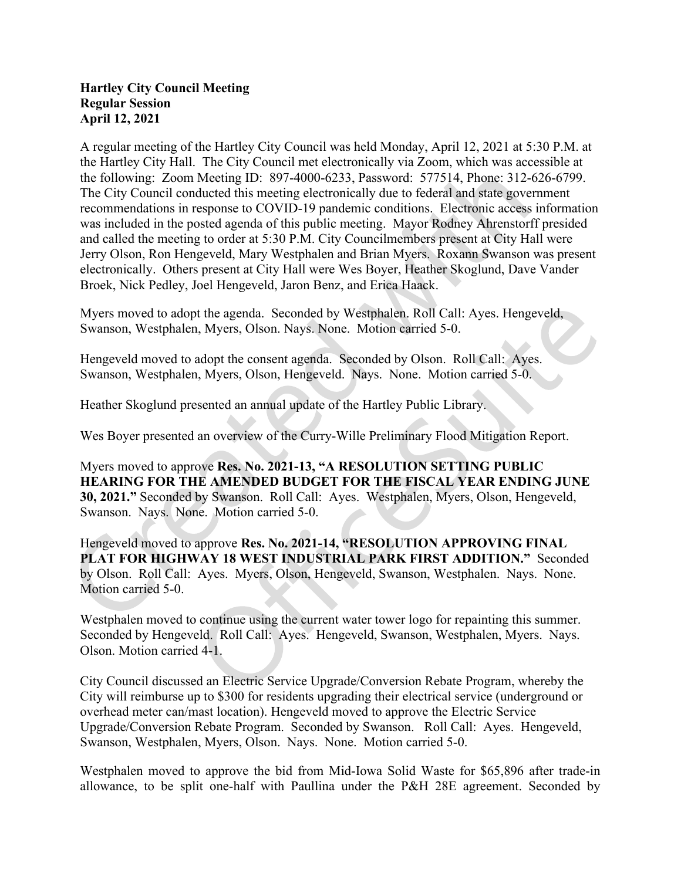## Hartley City Council Meeting Regular Session April 12, 2021

A regular meeting of the Hartley City Council was held Monday, April 12, 2021 at 5:30 P.M. at the Hartley City Hall. The City Council met electronically via Zoom, which was accessible at the following: Zoom Meeting ID: 897-4000-6233, Password: 577514, Phone: 312-626-6799. The City Council conducted this meeting electronically due to federal and state government recommendations in response to COVID-19 pandemic conditions. Electronic access information was included in the posted agenda of this public meeting. Mayor Rodney Ahrenstorff presided and called the meeting to order at 5:30 P.M. City Councilmembers present at City Hall were Jerry Olson, Ron Hengeveld, Mary Westphalen and Brian Myers. Roxann Swanson was present electronically. Others present at City Hall were Wes Boyer, Heather Skoglund, Dave Vander Broek, Nick Pedley, Joel Hengeveld, Jaron Benz, and Erica Haack.

Myers moved to adopt the agenda. Seconded by Westphalen. Roll Call: Ayes. Hengeveld, Swanson, Westphalen, Myers, Olson. Nays. None. Motion carried 5-0.

Hengeveld moved to adopt the consent agenda. Seconded by Olson. Roll Call: Ayes. Swanson, Westphalen, Myers, Olson, Hengeveld. Nays. None. Motion carried 5-0.

Heather Skoglund presented an annual update of the Hartley Public Library.

Wes Boyer presented an overview of the Curry-Wille Preliminary Flood Mitigation Report.

Myers moved to approve Res. No. 2021-13, "A RESOLUTION SETTING PUBLIC HEARING FOR THE AMENDED BUDGET FOR THE FISCAL YEAR ENDING JUNE 30, 2021." Seconded by Swanson. Roll Call: Ayes. Westphalen, Myers, Olson, Hengeveld, Swanson. Nays. None. Motion carried 5-0.

Hengeveld moved to approve Res. No. 2021-14, "RESOLUTION APPROVING FINAL PLAT FOR HIGHWAY 18 WEST INDUSTRIAL PARK FIRST ADDITION." Seconded by Olson. Roll Call: Ayes. Myers, Olson, Hengeveld, Swanson, Westphalen. Nays. None. Motion carried 5-0.

Westphalen moved to continue using the current water tower logo for repainting this summer. Seconded by Hengeveld. Roll Call: Ayes. Hengeveld, Swanson, Westphalen, Myers. Nays. Olson. Motion carried 4-1.

City Council discussed an Electric Service Upgrade/Conversion Rebate Program, whereby the City will reimburse up to \$300 for residents upgrading their electrical service (underground or overhead meter can/mast location). Hengeveld moved to approve the Electric Service Upgrade/Conversion Rebate Program. Seconded by Swanson. Roll Call: Ayes. Hengeveld, Swanson, Westphalen, Myers, Olson. Nays. None. Motion carried 5-0.

Westphalen moved to approve the bid from Mid-Iowa Solid Waste for \$65,896 after trade-in allowance, to be split one-half with Paullina under the P&H 28E agreement. Seconded by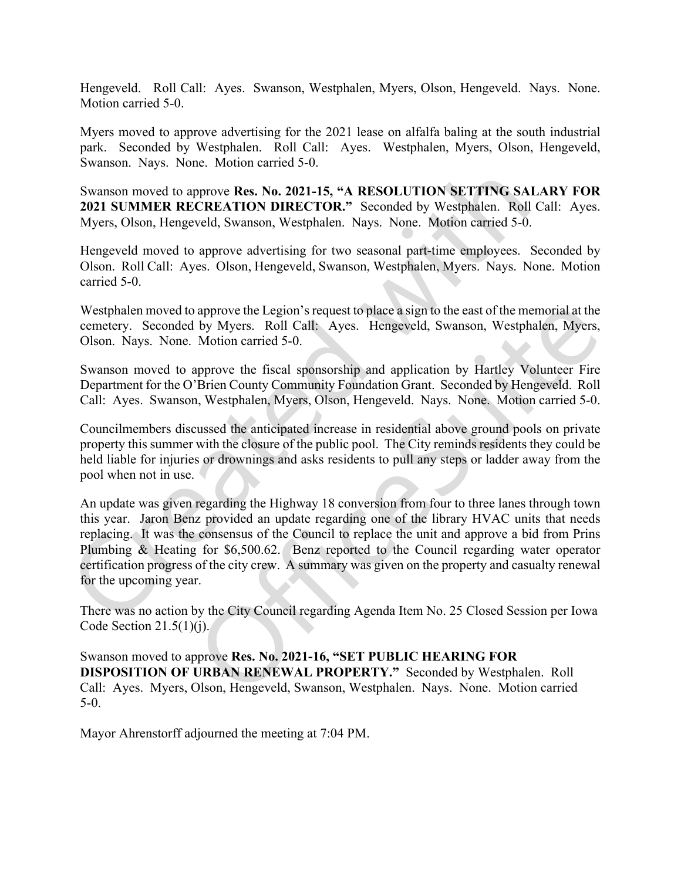Hengeveld. Roll Call: Ayes. Swanson, Westphalen, Myers, Olson, Hengeveld. Nays. None. Motion carried 5-0.

Myers moved to approve advertising for the 2021 lease on alfalfa baling at the south industrial park. Seconded by Westphalen. Roll Call: Ayes. Westphalen, Myers, Olson, Hengeveld, Swanson. Nays. None. Motion carried 5-0.

Swanson moved to approve Res. No. 2021-15, "A RESOLUTION SETTING SALARY FOR 2021 SUMMER RECREATION DIRECTOR." Seconded by Westphalen. Roll Call: Ayes. Myers, Olson, Hengeveld, Swanson, Westphalen. Nays. None. Motion carried 5-0.

Hengeveld moved to approve advertising for two seasonal part-time employees. Seconded by Olson. Roll Call: Ayes. Olson, Hengeveld, Swanson, Westphalen, Myers. Nays. None. Motion carried 5-0.

Westphalen moved to approve the Legion's request to place a sign to the east of the memorial at the cemetery. Seconded by Myers. Roll Call: Ayes. Hengeveld, Swanson, Westphalen, Myers, Olson. Nays. None. Motion carried 5-0.

Swanson moved to approve the fiscal sponsorship and application by Hartley Volunteer Fire Department for the O'Brien County Community Foundation Grant. Seconded by Hengeveld. Roll Call: Ayes. Swanson, Westphalen, Myers, Olson, Hengeveld. Nays. None. Motion carried 5-0.

Councilmembers discussed the anticipated increase in residential above ground pools on private property this summer with the closure of the public pool. The City reminds residents they could be held liable for injuries or drownings and asks residents to pull any steps or ladder away from the pool when not in use.

An update was given regarding the Highway 18 conversion from four to three lanes through town this year. Jaron Benz provided an update regarding one of the library HVAC units that needs replacing. It was the consensus of the Council to replace the unit and approve a bid from Prins Plumbing & Heating for \$6,500.62. Benz reported to the Council regarding water operator certification progress of the city crew. A summary was given on the property and casualty renewal for the upcoming year.

There was no action by the City Council regarding Agenda Item No. 25 Closed Session per Iowa Code Section  $21.5(1)(i)$ .

Swanson moved to approve Res. No. 2021-16, "SET PUBLIC HEARING FOR DISPOSITION OF URBAN RENEWAL PROPERTY." Seconded by Westphalen. Roll Call: Ayes. Myers, Olson, Hengeveld, Swanson, Westphalen. Nays. None. Motion carried 5-0.

Mayor Ahrenstorff adjourned the meeting at 7:04 PM.